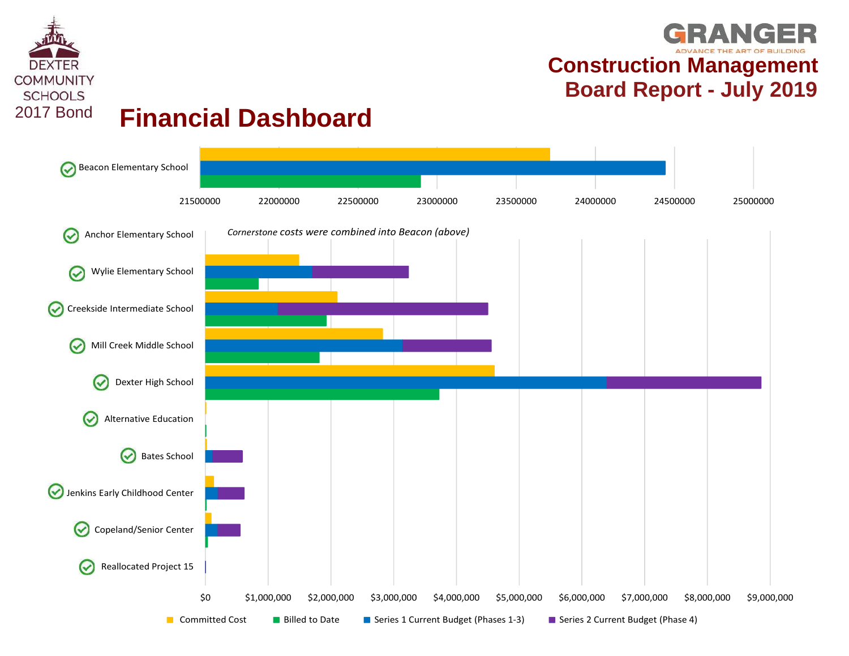

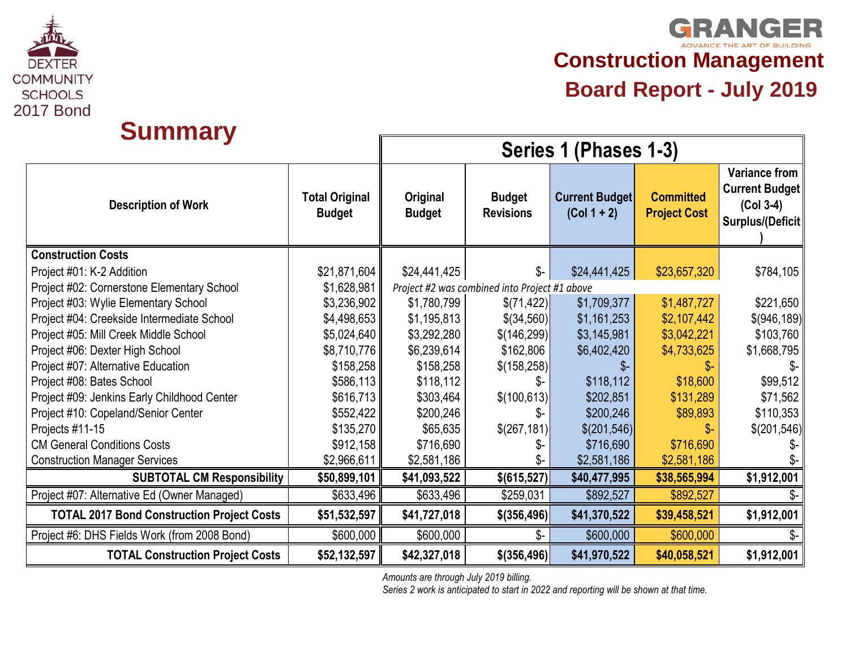

**GRANGER Construction Management**

| <b>Summary</b>                                    |                                        | Series 1 (Phases 1-3)     |                                               |                                        |                                         |                                                                                  |  |  |  |  |  |  |  |  |
|---------------------------------------------------|----------------------------------------|---------------------------|-----------------------------------------------|----------------------------------------|-----------------------------------------|----------------------------------------------------------------------------------|--|--|--|--|--|--|--|--|
| <b>Description of Work</b>                        | <b>Total Original</b><br><b>Budget</b> | Original<br><b>Budget</b> | <b>Budget</b><br><b>Revisions</b>             | <b>Current Budget</b><br>$(Col 1 + 2)$ | <b>Committed</b><br><b>Project Cost</b> | <b>Variance from</b><br><b>Current Budget</b><br>$(Col 3-4)$<br>Surplus/(Deficit |  |  |  |  |  |  |  |  |
| <b>Construction Costs</b>                         |                                        |                           |                                               |                                        |                                         |                                                                                  |  |  |  |  |  |  |  |  |
| Project #01: K-2 Addition                         | \$21,871,604                           | \$24,441,425              | $S-$                                          | \$24,441,425                           | \$23,657,320                            | \$784,105                                                                        |  |  |  |  |  |  |  |  |
| Project #02: Cornerstone Elementary School        | \$1,628,981                            |                           | Project #2 was combined into Project #1 above |                                        |                                         |                                                                                  |  |  |  |  |  |  |  |  |
| Project #03: Wylie Elementary School              | \$3,236,902                            | \$1,780,799               | \$(71, 422)                                   | \$1,709,377                            | \$1,487,727                             | \$221,650                                                                        |  |  |  |  |  |  |  |  |
| Project #04: Creekside Intermediate School        | \$4,498,653                            | \$1,195,813               | $$$ (34,560)                                  | \$1,161,253                            | \$2,107,442                             | \$(946, 189)                                                                     |  |  |  |  |  |  |  |  |
| Project #05: Mill Creek Middle School             | \$5,024,640                            | \$3,292,280               | \$(146, 299)                                  | \$3,145,981                            | \$3,042,221                             | \$103,760                                                                        |  |  |  |  |  |  |  |  |
| Project #06: Dexter High School                   | \$8,710,776                            | \$6,239,614               | \$162,806                                     | \$6,402,420                            | \$4,733,625                             | \$1,668,795                                                                      |  |  |  |  |  |  |  |  |
| Project #07: Alternative Education                | \$158,258                              | \$158,258                 | \$(158, 258)                                  | \$-                                    | \$-                                     | \$-                                                                              |  |  |  |  |  |  |  |  |
| Project #08: Bates School                         | \$586,113                              | \$118,112                 | \$-                                           | \$118,112                              | \$18,600                                | \$99,512                                                                         |  |  |  |  |  |  |  |  |
| Project #09: Jenkins Early Childhood Center       | \$616,713                              | \$303,464                 | \$(100, 613)                                  | \$202,851                              | \$131,289                               | \$71,562                                                                         |  |  |  |  |  |  |  |  |
| Project #10: Copeland/Senior Center               | \$552,422                              | \$200,246                 |                                               | \$200,246                              | \$89,893                                | \$110,353                                                                        |  |  |  |  |  |  |  |  |
| Projects #11-15                                   | \$135,270                              | \$65,635                  | \$(267, 181)                                  | \$(201, 546)                           |                                         | \$(201,546)                                                                      |  |  |  |  |  |  |  |  |
| <b>CM General Conditions Costs</b>                | \$912,158                              | \$716,690                 | Տ−                                            | \$716,690                              | \$716,690                               | Ֆ-                                                                               |  |  |  |  |  |  |  |  |
| <b>Construction Manager Services</b>              | \$2,966,611                            | \$2,581,186               | \$-                                           | \$2,581,186                            | \$2,581,186                             |                                                                                  |  |  |  |  |  |  |  |  |
| <b>SUBTOTAL CM Responsibility</b>                 | \$50,899,101                           | \$41,093,522              | \$(615, 527)                                  | \$40,477,995                           | \$38,565,994                            | \$1,912,001                                                                      |  |  |  |  |  |  |  |  |
| Project #07: Alternative Ed (Owner Managed)       | \$633,496                              | \$633,496                 | \$259,031                                     | \$892,527                              | \$892,527                               |                                                                                  |  |  |  |  |  |  |  |  |
| <b>TOTAL 2017 Bond Construction Project Costs</b> | \$51,532,597                           | \$41,727,018              | \$(356, 496)                                  | \$41,370,522                           | \$39,458,521                            | \$1,912,001                                                                      |  |  |  |  |  |  |  |  |
| Project #6: DHS Fields Work (from 2008 Bond)      | \$600,000                              | \$600,000                 | $S-$                                          | \$600,000                              | \$600,000                               | \$-                                                                              |  |  |  |  |  |  |  |  |
| <b>TOTAL Construction Project Costs</b>           | \$52,132,597                           | \$42,327,018              | \$(356, 496)                                  | \$41,970,522                           | \$40,058,521                            | \$1,912,001                                                                      |  |  |  |  |  |  |  |  |

*Amounts are through July 2019 billing.*

*Series 2 work is anticipated to start in 2022 and reporting will be shown at that time.*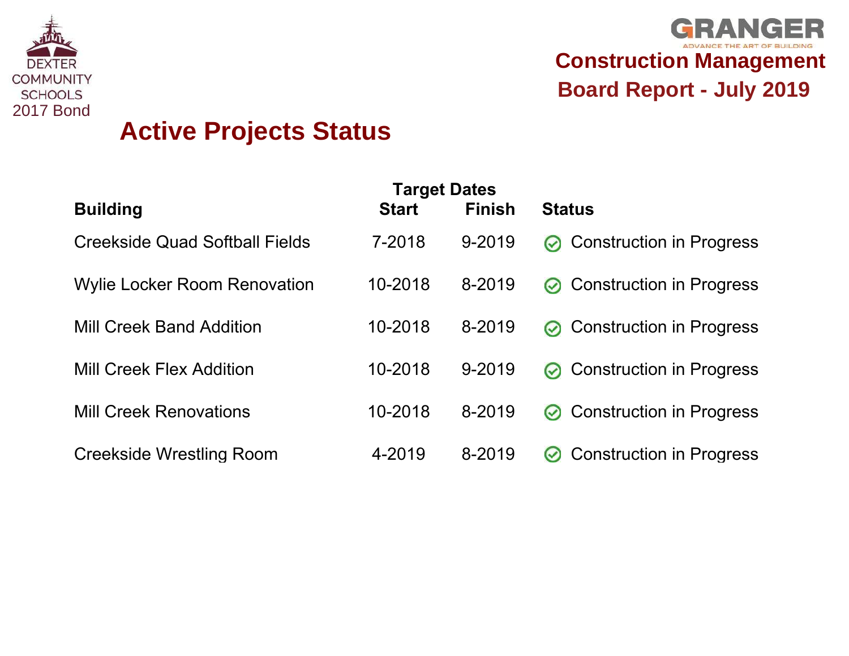



| UUMMUNI LI<br><b>SCHOOLS</b> |                                       |                                     |               | <b>Board Report - July 2019</b>                  |
|------------------------------|---------------------------------------|-------------------------------------|---------------|--------------------------------------------------|
| <b>2017 Bond</b>             | <b>Active Projects Status</b>         |                                     |               |                                                  |
|                              | <b>Building</b>                       | <b>Target Dates</b><br><b>Start</b> | <b>Finish</b> | <b>Status</b>                                    |
|                              | <b>Creekside Quad Softball Fields</b> | 7-2018                              | 9-2019        | <b>Construction in Progress</b><br>$\odot$       |
|                              | <b>Wylie Locker Room Renovation</b>   | 10-2018                             | 8-2019        | <b>Construction in Progress</b><br>$\bm{\odot}$  |
|                              | <b>Mill Creek Band Addition</b>       | 10-2018                             | 8-2019        | <b>Construction in Progress</b><br>∞             |
|                              | <b>Mill Creek Flex Addition</b>       | 10-2018                             | 9-2019        | <b>Construction in Progress</b><br>$\odot$       |
|                              | <b>Mill Creek Renovations</b>         | 10-2018                             | 8-2019        | <b>Construction in Progress</b><br>$\bm{\omega}$ |
|                              | <b>Creekside Wrestling Room</b>       | 4-2019                              | 8-2019        | <b>Construction in Progress</b><br>$\bm{\omega}$ |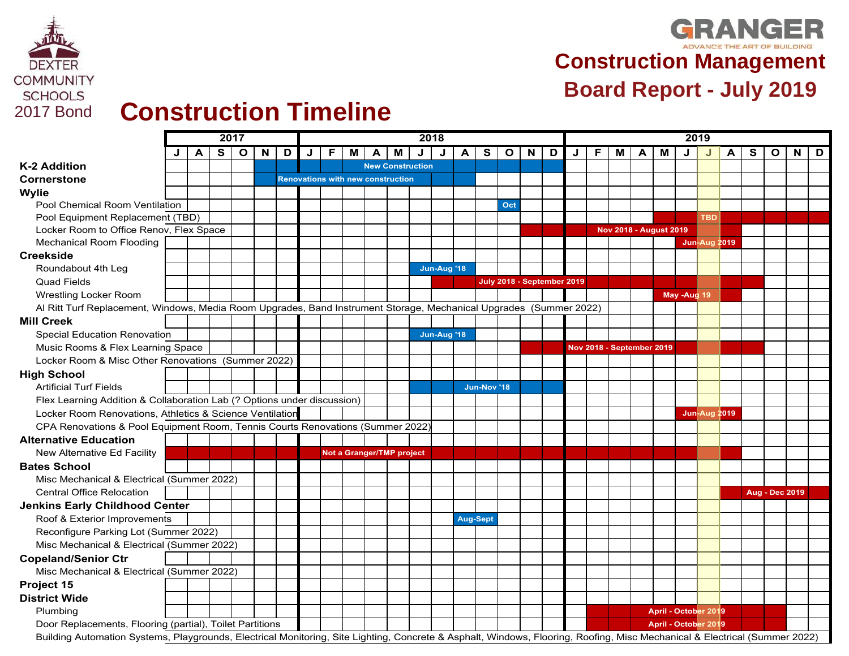

## **GRANGER Construction Management**

# EOMMUNITY<br>
SCHOOLS<br>
2017 Bond **Construction Timeline Board Report - July 2019**

|                                                                                                                                                                            |   |   |    | 2017         |   |   | 2018                                     |   |   |  |                           |   |             |                 | 2019        |              |   |                            |   |                               |                                  |   |                     |             |                      |   |   |                       |   |   |
|----------------------------------------------------------------------------------------------------------------------------------------------------------------------------|---|---|----|--------------|---|---|------------------------------------------|---|---|--|---------------------------|---|-------------|-----------------|-------------|--------------|---|----------------------------|---|-------------------------------|----------------------------------|---|---------------------|-------------|----------------------|---|---|-----------------------|---|---|
|                                                                                                                                                                            | J | A | S. | $\mathbf{o}$ | N | D | J                                        | F | M |  | м                         | J | J           | A               | S           | $\mathbf{o}$ | N | D                          | J | F                             | м                                | A | M                   | J           |                      | Α | s | O                     | N | D |
| <b>K-2 Addition</b>                                                                                                                                                        |   |   |    |              |   |   |                                          |   |   |  | <b>New Construction</b>   |   |             |                 |             |              |   |                            |   |                               |                                  |   |                     |             |                      |   |   |                       |   |   |
| Cornerstone                                                                                                                                                                |   |   |    |              |   |   | <b>Renovations with new construction</b> |   |   |  |                           |   |             |                 |             |              |   |                            |   |                               |                                  |   |                     |             |                      |   |   |                       |   |   |
| <b>Wylie</b>                                                                                                                                                               |   |   |    |              |   |   |                                          |   |   |  |                           |   |             |                 |             |              |   |                            |   |                               |                                  |   |                     |             |                      |   |   |                       |   |   |
| Pool Chemical Room Ventilation                                                                                                                                             |   |   |    |              |   |   |                                          |   |   |  |                           |   |             |                 |             | Oct          |   |                            |   |                               |                                  |   |                     |             |                      |   |   |                       |   |   |
| Pool Equipment Replacement (TBD)                                                                                                                                           |   |   |    |              |   |   |                                          |   |   |  |                           |   |             |                 |             |              |   |                            |   |                               |                                  |   |                     |             | <b>TBD</b>           |   |   |                       |   |   |
| Locker Room to Office Renov, Flex Space                                                                                                                                    |   |   |    |              |   |   |                                          |   |   |  |                           |   |             |                 |             |              |   |                            |   | <b>Nov 2018 - August 2019</b> |                                  |   |                     |             |                      |   |   |                       |   |   |
| Mechanical Room Flooding                                                                                                                                                   |   |   |    |              |   |   |                                          |   |   |  |                           |   |             |                 |             |              |   |                            |   |                               |                                  |   |                     |             | <b>Jun-Aug 2019</b>  |   |   |                       |   |   |
| <b>Creekside</b>                                                                                                                                                           |   |   |    |              |   |   |                                          |   |   |  |                           |   |             |                 |             |              |   |                            |   |                               |                                  |   |                     |             |                      |   |   |                       |   |   |
| Roundabout 4th Leg                                                                                                                                                         |   |   |    |              |   |   |                                          |   |   |  |                           |   | Jun-Aug '18 |                 |             |              |   |                            |   |                               |                                  |   |                     |             |                      |   |   |                       |   |   |
| <b>Quad Fields</b>                                                                                                                                                         |   |   |    |              |   |   |                                          |   |   |  |                           |   |             |                 |             |              |   | July 2018 - September 2019 |   |                               |                                  |   |                     |             |                      |   |   |                       |   |   |
| <b>Wrestling Locker Room</b>                                                                                                                                               |   |   |    |              |   |   |                                          |   |   |  |                           |   |             |                 |             |              |   |                            |   |                               |                                  |   |                     | May -Aug 19 |                      |   |   |                       |   |   |
| Al Ritt Turf Replacement, Windows, Media Room Upgrades, Band Instrument Storage, Mechanical Upgrades (Summer 2022)                                                         |   |   |    |              |   |   |                                          |   |   |  |                           |   |             |                 |             |              |   |                            |   |                               |                                  |   |                     |             |                      |   |   |                       |   |   |
| <b>Mill Creek</b>                                                                                                                                                          |   |   |    |              |   |   |                                          |   |   |  |                           |   |             |                 |             |              |   |                            |   |                               |                                  |   |                     |             |                      |   |   |                       |   |   |
| <b>Special Education Renovation</b>                                                                                                                                        |   |   |    |              |   |   |                                          |   |   |  |                           |   | Jun-Aug '18 |                 |             |              |   |                            |   |                               |                                  |   |                     |             |                      |   |   |                       |   |   |
| Music Rooms & Flex Learning Space                                                                                                                                          |   |   |    |              |   |   |                                          |   |   |  |                           |   |             |                 |             |              |   |                            |   |                               | <b>Nov 2018 - September 2019</b> |   |                     |             |                      |   |   |                       |   |   |
| Locker Room & Misc Other Renovations (Summer 2022)                                                                                                                         |   |   |    |              |   |   |                                          |   |   |  |                           |   |             |                 |             |              |   |                            |   |                               |                                  |   |                     |             |                      |   |   |                       |   |   |
| <b>High School</b>                                                                                                                                                         |   |   |    |              |   |   |                                          |   |   |  |                           |   |             |                 |             |              |   |                            |   |                               |                                  |   |                     |             |                      |   |   |                       |   |   |
| <b>Artificial Turf Fields</b>                                                                                                                                              |   |   |    |              |   |   |                                          |   |   |  |                           |   |             |                 | Jun-Nov '18 |              |   |                            |   |                               |                                  |   |                     |             |                      |   |   |                       |   |   |
| Flex Learning Addition & Collaboration Lab (? Options under discussion)                                                                                                    |   |   |    |              |   |   |                                          |   |   |  |                           |   |             |                 |             |              |   |                            |   |                               |                                  |   |                     |             |                      |   |   |                       |   |   |
| Locker Room Renovations, Athletics & Science Ventilation                                                                                                                   |   |   |    |              |   |   |                                          |   |   |  |                           |   |             |                 |             |              |   |                            |   |                               |                                  |   | <b>Jun-Aug 2019</b> |             |                      |   |   |                       |   |   |
| CPA Renovations & Pool Equipment Room, Tennis Courts Renovations (Summer 2022)                                                                                             |   |   |    |              |   |   |                                          |   |   |  |                           |   |             |                 |             |              |   |                            |   |                               |                                  |   |                     |             |                      |   |   |                       |   |   |
| <b>Alternative Education</b>                                                                                                                                               |   |   |    |              |   |   |                                          |   |   |  |                           |   |             |                 |             |              |   |                            |   |                               |                                  |   |                     |             |                      |   |   |                       |   |   |
| New Alternative Ed Facility                                                                                                                                                |   |   |    |              |   |   |                                          |   |   |  | Not a Granger/TMP project |   |             |                 |             |              |   |                            |   |                               |                                  |   |                     |             |                      |   |   |                       |   |   |
| <b>Bates School</b>                                                                                                                                                        |   |   |    |              |   |   |                                          |   |   |  |                           |   |             |                 |             |              |   |                            |   |                               |                                  |   |                     |             |                      |   |   |                       |   |   |
| Misc Mechanical & Electrical (Summer 2022)                                                                                                                                 |   |   |    |              |   |   |                                          |   |   |  |                           |   |             |                 |             |              |   |                            |   |                               |                                  |   |                     |             |                      |   |   |                       |   |   |
| <b>Central Office Relocation</b>                                                                                                                                           |   |   |    |              |   |   |                                          |   |   |  |                           |   |             |                 |             |              |   |                            |   |                               |                                  |   |                     |             |                      |   |   | <b>Aug - Dec 2019</b> |   |   |
| <b>Jenkins Early Childhood Center</b>                                                                                                                                      |   |   |    |              |   |   |                                          |   |   |  |                           |   |             |                 |             |              |   |                            |   |                               |                                  |   |                     |             |                      |   |   |                       |   |   |
| Roof & Exterior Improvements                                                                                                                                               |   |   |    |              |   |   |                                          |   |   |  |                           |   |             | <b>Aug-Sept</b> |             |              |   |                            |   |                               |                                  |   |                     |             |                      |   |   |                       |   |   |
| Reconfigure Parking Lot (Summer 2022)                                                                                                                                      |   |   |    |              |   |   |                                          |   |   |  |                           |   |             |                 |             |              |   |                            |   |                               |                                  |   |                     |             |                      |   |   |                       |   |   |
| Misc Mechanical & Electrical (Summer 2022)                                                                                                                                 |   |   |    |              |   |   |                                          |   |   |  |                           |   |             |                 |             |              |   |                            |   |                               |                                  |   |                     |             |                      |   |   |                       |   |   |
| <b>Copeland/Senior Ctr</b>                                                                                                                                                 |   |   |    |              |   |   |                                          |   |   |  |                           |   |             |                 |             |              |   |                            |   |                               |                                  |   |                     |             |                      |   |   |                       |   |   |
| Misc Mechanical & Electrical (Summer 2022)                                                                                                                                 |   |   |    |              |   |   |                                          |   |   |  |                           |   |             |                 |             |              |   |                            |   |                               |                                  |   |                     |             |                      |   |   |                       |   |   |
| Project 15                                                                                                                                                                 |   |   |    |              |   |   |                                          |   |   |  |                           |   |             |                 |             |              |   |                            |   |                               |                                  |   |                     |             |                      |   |   |                       |   |   |
| <b>District Wide</b>                                                                                                                                                       |   |   |    |              |   |   |                                          |   |   |  |                           |   |             |                 |             |              |   |                            |   |                               |                                  |   |                     |             |                      |   |   |                       |   |   |
| Plumbing                                                                                                                                                                   |   |   |    |              |   |   |                                          |   |   |  |                           |   |             |                 |             |              |   |                            |   |                               |                                  |   |                     |             | April - October 2019 |   |   |                       |   |   |
| Door Replacements, Flooring (partial), Toilet Partitions                                                                                                                   |   |   |    |              |   |   |                                          |   |   |  |                           |   |             |                 |             |              |   |                            |   |                               |                                  |   |                     |             | April - October 2019 |   |   |                       |   |   |
| Building Automation Systems, Playgrounds, Electrical Monitoring, Site Lighting, Concrete & Asphalt, Windows, Flooring, Roofing, Misc Mechanical & Electrical (Summer 2022) |   |   |    |              |   |   |                                          |   |   |  |                           |   |             |                 |             |              |   |                            |   |                               |                                  |   |                     |             |                      |   |   |                       |   |   |
|                                                                                                                                                                            |   |   |    |              |   |   |                                          |   |   |  |                           |   |             |                 |             |              |   |                            |   |                               |                                  |   |                     |             |                      |   |   |                       |   |   |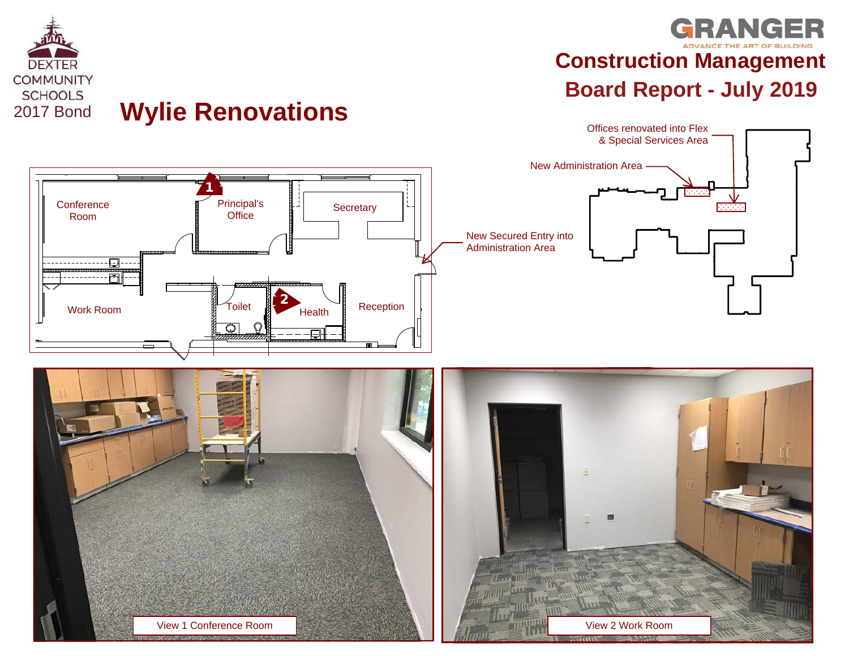

## **Wylie Renovations**

## **GRANGER Construction Management**

Offices renovated into Flex



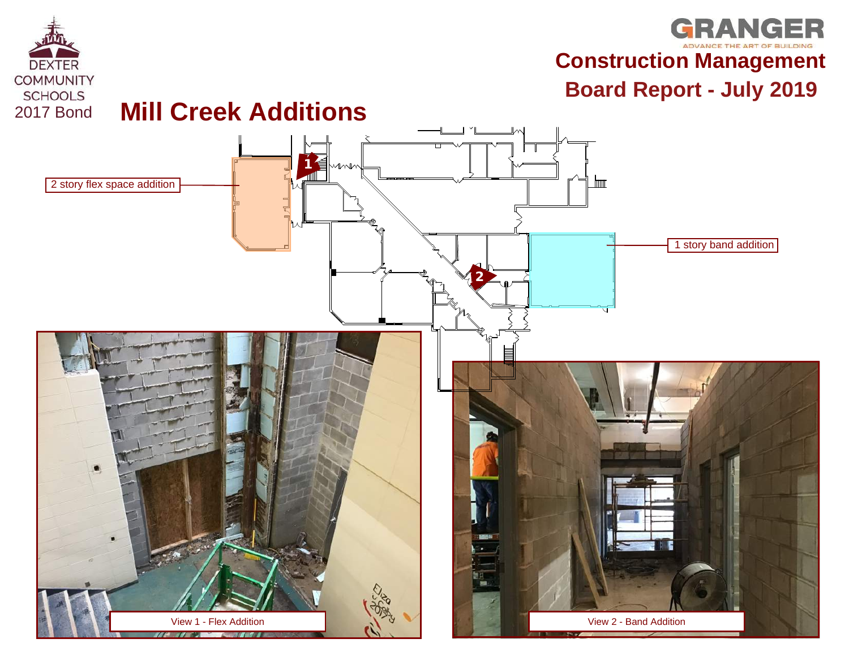